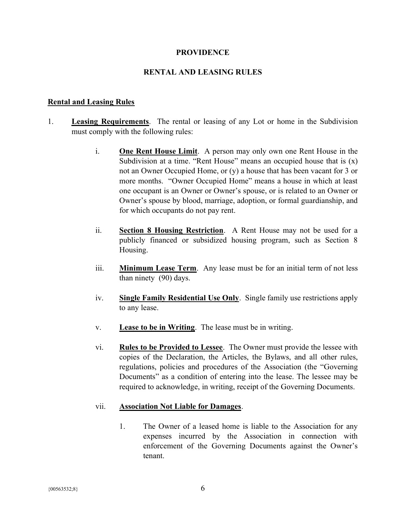### **PROVIDENCE**

### RENTAL AND LEASING RULES

### Rental and Leasing Rules

- 1. Leasing Requirements. The rental or leasing of any Lot or home in the Subdivision must comply with the following rules:
	- i. One Rent House Limit. A person may only own one Rent House in the Subdivision at a time. "Rent House" means an occupied house that is  $(x)$ not an Owner Occupied Home, or (y) a house that has been vacant for 3 or more months. "Owner Occupied Home" means a house in which at least one occupant is an Owner or Owner's spouse, or is related to an Owner or Owner's spouse by blood, marriage, adoption, or formal guardianship, and for which occupants do not pay rent.
	- ii. Section 8 Housing Restriction. A Rent House may not be used for a publicly financed or subsidized housing program, such as Section 8 Housing.
	- iii. Minimum Lease Term. Any lease must be for an initial term of not less than ninety (90) days.
	- iv. Single Family Residential Use Only. Single family use restrictions apply to any lease.
	- v. Lease to be in Writing. The lease must be in writing.
	- vi. Rules to be Provided to Lessee. The Owner must provide the lessee with copies of the Declaration, the Articles, the Bylaws, and all other rules, regulations, policies and procedures of the Association (the "Governing Documents" as a condition of entering into the lease. The lessee may be required to acknowledge, in writing, receipt of the Governing Documents.

#### vii. Association Not Liable for Damages.

1. The Owner of a leased home is liable to the Association for any expenses incurred by the Association in connection with enforcement of the Governing Documents against the Owner's tenant.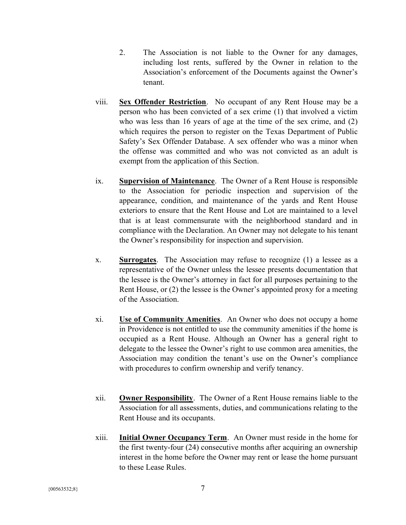- 2. The Association is not liable to the Owner for any damages, including lost rents, suffered by the Owner in relation to the Association's enforcement of the Documents against the Owner's tenant.
- viii. Sex Offender Restriction. No occupant of any Rent House may be a person who has been convicted of a sex crime (1) that involved a victim who was less than 16 years of age at the time of the sex crime, and (2) which requires the person to register on the Texas Department of Public Safety's Sex Offender Database. A sex offender who was a minor when the offense was committed and who was not convicted as an adult is exempt from the application of this Section.
- ix. Supervision of Maintenance. The Owner of a Rent House is responsible to the Association for periodic inspection and supervision of the appearance, condition, and maintenance of the yards and Rent House exteriors to ensure that the Rent House and Lot are maintained to a level that is at least commensurate with the neighborhood standard and in compliance with the Declaration. An Owner may not delegate to his tenant the Owner's responsibility for inspection and supervision.
- x. Surrogates. The Association may refuse to recognize (1) a lessee as a representative of the Owner unless the lessee presents documentation that the lessee is the Owner's attorney in fact for all purposes pertaining to the Rent House, or  $(2)$  the lessee is the Owner's appointed proxy for a meeting of the Association.
- xi. Use of Community Amenities. An Owner who does not occupy a home in Providence is not entitled to use the community amenities if the home is occupied as a Rent House. Although an Owner has a general right to delegate to the lessee the Owner's right to use common area amenities, the Association may condition the tenant's use on the Owner's compliance with procedures to confirm ownership and verify tenancy.
- xii. Owner Responsibility. The Owner of a Rent House remains liable to the Association for all assessments, duties, and communications relating to the Rent House and its occupants.
- xiii. Initial Owner Occupancy Term. An Owner must reside in the home for the first twenty-four (24) consecutive months after acquiring an ownership interest in the home before the Owner may rent or lease the home pursuant to these Lease Rules.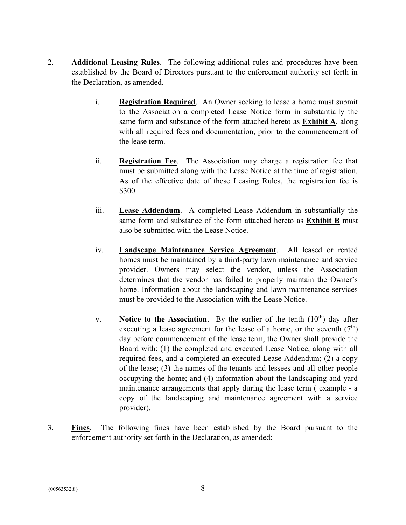- 2. Additional Leasing Rules. The following additional rules and procedures have been established by the Board of Directors pursuant to the enforcement authority set forth in the Declaration, as amended.
	- i. Registration Required. An Owner seeking to lease a home must submit to the Association a completed Lease Notice form in substantially the same form and substance of the form attached hereto as Exhibit A, along with all required fees and documentation, prior to the commencement of the lease term.
	- ii. Registration Fee. The Association may charge a registration fee that must be submitted along with the Lease Notice at the time of registration. As of the effective date of these Leasing Rules, the registration fee is \$300.
	- iii. Lease Addendum. A completed Lease Addendum in substantially the same form and substance of the form attached hereto as Exhibit B must also be submitted with the Lease Notice.
	- iv. Landscape Maintenance Service Agreement. All leased or rented homes must be maintained by a third-party lawn maintenance and service provider. Owners may select the vendor, unless the Association determines that the vendor has failed to properly maintain the Owner's home. Information about the landscaping and lawn maintenance services must be provided to the Association with the Lease Notice.
	- v. Notice to the Association. By the earlier of the tenth  $(10<sup>th</sup>)$  day after executing a lease agreement for the lease of a home, or the seventh  $(7<sup>th</sup>)$ day before commencement of the lease term, the Owner shall provide the Board with: (1) the completed and executed Lease Notice, along with all required fees, and a completed an executed Lease Addendum; (2) a copy of the lease; (3) the names of the tenants and lessees and all other people occupying the home; and (4) information about the landscaping and yard maintenance arrangements that apply during the lease term ( example - a copy of the landscaping and maintenance agreement with a service provider).
- 3. Fines. The following fines have been established by the Board pursuant to the enforcement authority set forth in the Declaration, as amended: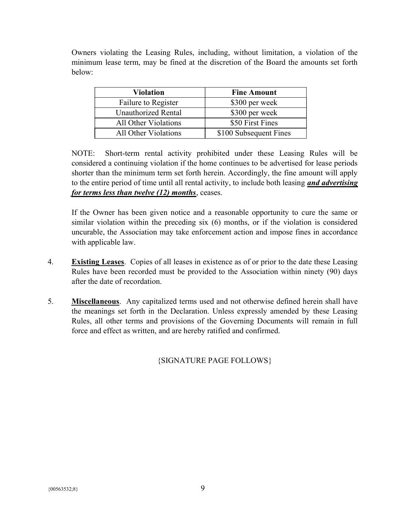Owners violating the Leasing Rules, including, without limitation, a violation of the minimum lease term, may be fined at the discretion of the Board the amounts set forth below:

| <b>Violation</b>           | <b>Fine Amount</b>     |  |
|----------------------------|------------------------|--|
| Failure to Register        | \$300 per week         |  |
| <b>Unauthorized Rental</b> | \$300 per week         |  |
| All Other Violations       | \$50 First Fines       |  |
| All Other Violations       | \$100 Subsequent Fines |  |

NOTE: Short-term rental activity prohibited under these Leasing Rules will be considered a continuing violation if the home continues to be advertised for lease periods shorter than the minimum term set forth herein. Accordingly, the fine amount will apply to the entire period of time until all rental activity, to include both leasing *and advertising* for terms less than twelve (12) months, ceases.

If the Owner has been given notice and a reasonable opportunity to cure the same or similar violation within the preceding six (6) months, or if the violation is considered uncurable, the Association may take enforcement action and impose fines in accordance with applicable law.

- 4. Existing Leases. Copies of all leases in existence as of or prior to the date these Leasing Rules have been recorded must be provided to the Association within ninety (90) days after the date of recordation.
- 5. Miscellaneous. Any capitalized terms used and not otherwise defined herein shall have the meanings set forth in the Declaration. Unless expressly amended by these Leasing Rules, all other terms and provisions of the Governing Documents will remain in full force and effect as written, and are hereby ratified and confirmed.

{SIGNATURE PAGE FOLLOWS}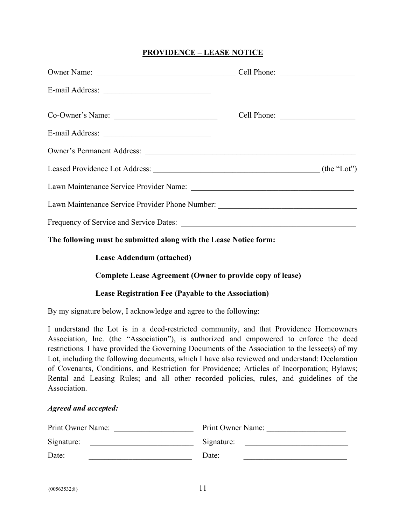# PROVIDENCE – LEASE NOTICE

| Co-Owner's Name:                                                                 |  |
|----------------------------------------------------------------------------------|--|
|                                                                                  |  |
| Owner's Permanent Address:                                                       |  |
| Leased Providence Lot Address: (the "Lot") (the "Lot")                           |  |
|                                                                                  |  |
| Lawn Maintenance Service Provider Phone Number: ________________________________ |  |
|                                                                                  |  |

The following must be submitted along with the Lease Notice form:

## Lease Addendum (attached)

## Complete Lease Agreement (Owner to provide copy of lease)

### Lease Registration Fee (Payable to the Association)

By my signature below, I acknowledge and agree to the following:

I understand the Lot is in a deed-restricted community, and that Providence Homeowners Association, Inc. (the "Association"), is authorized and empowered to enforce the deed restrictions. I have provided the Governing Documents of the Association to the lessee(s) of my Lot, including the following documents, which I have also reviewed and understand: Declaration of Covenants, Conditions, and Restriction for Providence; Articles of Incorporation; Bylaws; Rental and Leasing Rules; and all other recorded policies, rules, and guidelines of the Association.

### Agreed and accepted:

| Print Owner Name: | Print Owner Name: |
|-------------------|-------------------|
| Signature:        | Signature:        |
| Date:             | Date:             |